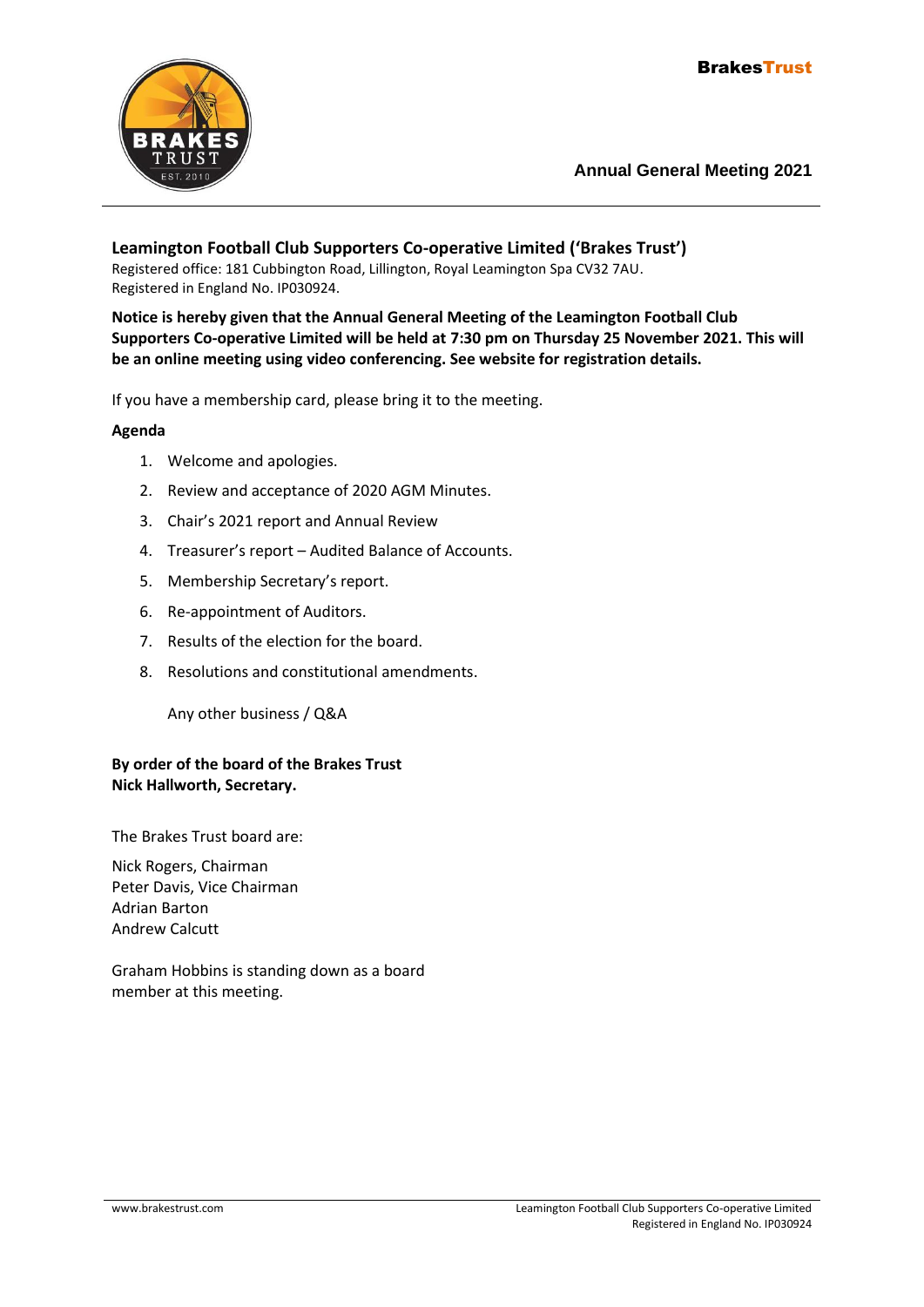

**Leamington Football Club Supporters Co-operative Limited ('Brakes Trust')** Registered office: 181 Cubbington Road, Lillington, Royal Leamington Spa CV32 7AU. Registered in England No. IP030924.

**Notice is hereby given that the Annual General Meeting of the Leamington Football Club Supporters Co-operative Limited will be held at 7:30 pm on Thursday 25 November 2021. This will be an online meeting using video conferencing. See website for registration details.**

If you have a membership card, please bring it to the meeting.

### **Agenda**

- 1. Welcome and apologies.
- 2. Review and acceptance of 2020 AGM Minutes.
- 3. Chair's 2021 report and Annual Review
- 4. Treasurer's report Audited Balance of Accounts.
- 5. Membership Secretary's report.
- 6. Re-appointment of Auditors.
- 7. Results of the election for the board.
- 8. Resolutions and constitutional amendments.

Any other business / Q&A

#### **By order of the board of the Brakes Trust Nick Hallworth, Secretary.**

The Brakes Trust board are:

Nick Rogers, Chairman Peter Davis, Vice Chairman Adrian Barton Andrew Calcutt

Graham Hobbins is standing down as a board member at this meeting.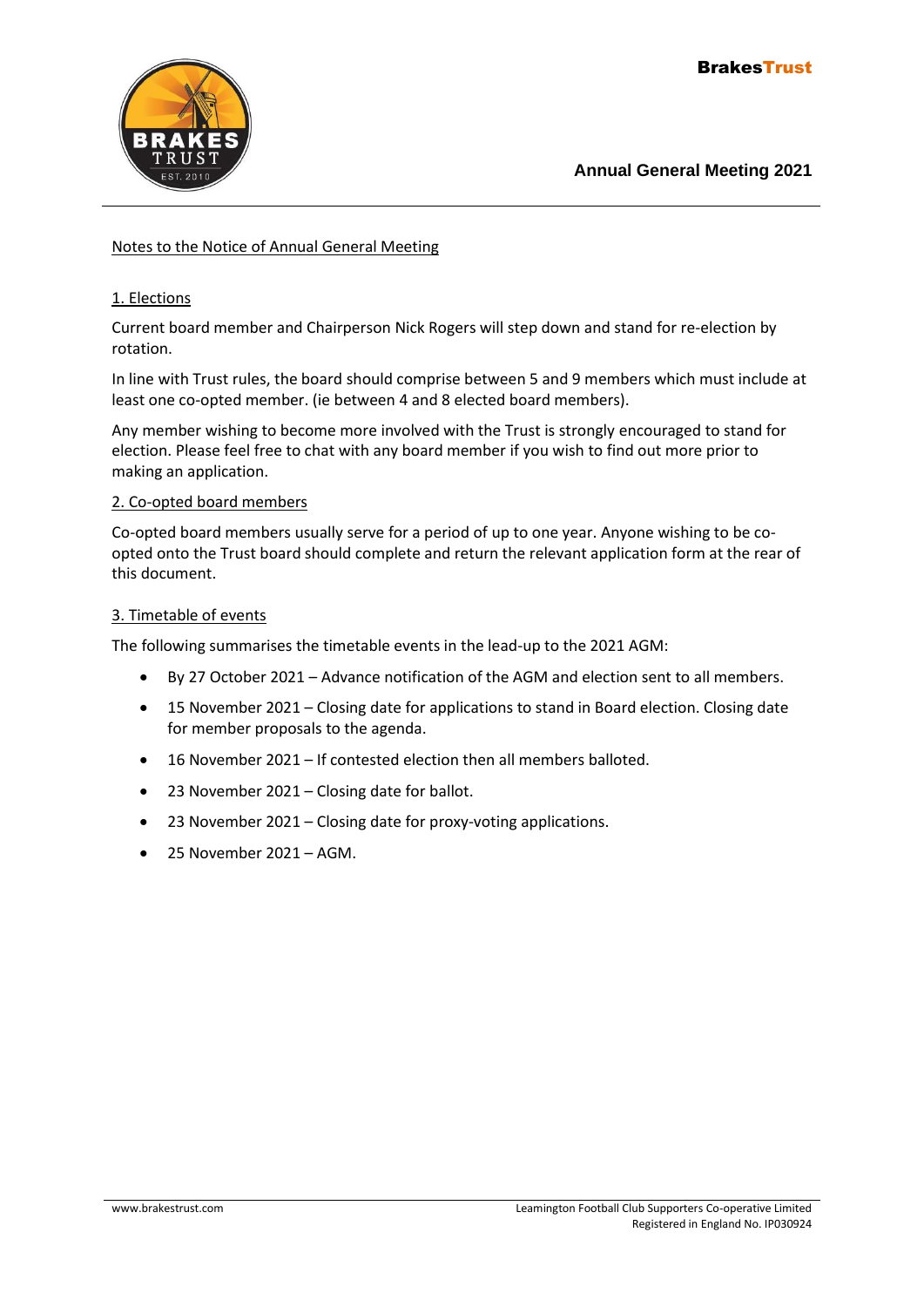

#### Notes to the Notice of Annual General Meeting

#### 1. Elections

Current board member and Chairperson Nick Rogers will step down and stand for re-election by rotation.

In line with Trust rules, the board should comprise between 5 and 9 members which must include at least one co-opted member. (ie between 4 and 8 elected board members).

Any member wishing to become more involved with the Trust is strongly encouraged to stand for election. Please feel free to chat with any board member if you wish to find out more prior to making an application.

#### 2. Co-opted board members

Co-opted board members usually serve for a period of up to one year. Anyone wishing to be coopted onto the Trust board should complete and return the relevant application form at the rear of this document.

#### 3. Timetable of events

The following summarises the timetable events in the lead-up to the 2021 AGM:

- By 27 October 2021 Advance notification of the AGM and election sent to all members.
- 15 November 2021 Closing date for applications to stand in Board election. Closing date for member proposals to the agenda.
- 16 November 2021 If contested election then all members balloted.
- 23 November 2021 Closing date for ballot.
- 23 November 2021 Closing date for proxy-voting applications.
- 25 November 2021 AGM.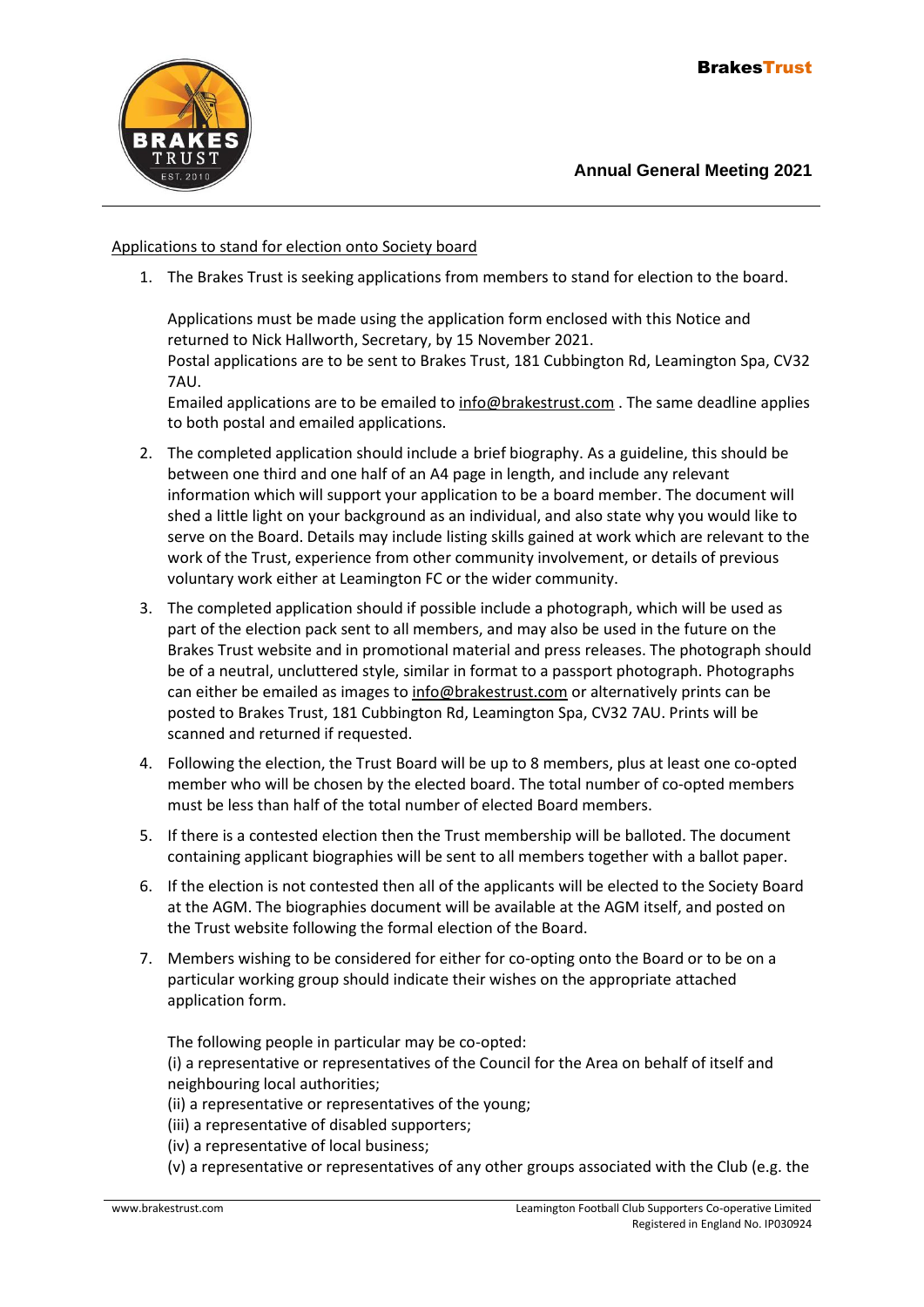

### Applications to stand for election onto Society board

1. The Brakes Trust is seeking applications from members to stand for election to the board.

Applications must be made using the application form enclosed with this Notice and returned to Nick Hallworth, Secretary, by 15 November 2021.

Postal applications are to be sent to Brakes Trust, 181 Cubbington Rd, Leamington Spa, CV32 7AU.

Emailed applications are to be emailed t[o info@brakestrust.com](mailto:nickhallworth@googlemail.com) . The same deadline applies to both postal and emailed applications.

- 2. The completed application should include a brief biography. As a guideline, this should be between one third and one half of an A4 page in length, and include any relevant information which will support your application to be a board member. The document will shed a little light on your background as an individual, and also state why you would like to serve on the Board. Details may include listing skills gained at work which are relevant to the work of the Trust, experience from other community involvement, or details of previous voluntary work either at Leamington FC or the wider community.
- 3. The completed application should if possible include a photograph, which will be used as part of the election pack sent to all members, and may also be used in the future on the Brakes Trust website and in promotional material and press releases. The photograph should be of a neutral, uncluttered style, similar in format to a passport photograph. Photographs can either be emailed as images t[o info@brakestrust.com](mailto:nickhallworth@googlemail.com) or alternatively prints can be posted to Brakes Trust, 181 Cubbington Rd, Leamington Spa, CV32 7AU. Prints will be scanned and returned if requested.
- 4. Following the election, the Trust Board will be up to 8 members, plus at least one co-opted member who will be chosen by the elected board. The total number of co-opted members must be less than half of the total number of elected Board members.
- 5. If there is a contested election then the Trust membership will be balloted. The document containing applicant biographies will be sent to all members together with a ballot paper.
- 6. If the election is not contested then all of the applicants will be elected to the Society Board at the AGM. The biographies document will be available at the AGM itself, and posted on the Trust website following the formal election of the Board.
- 7. Members wishing to be considered for either for co-opting onto the Board or to be on a particular working group should indicate their wishes on the appropriate attached application form.

The following people in particular may be co-opted:

(i) a representative or representatives of the Council for the Area on behalf of itself and neighbouring local authorities;

- (ii) a representative or representatives of the young;
- (iii) a representative of disabled supporters;
- (iv) a representative of local business;
- (v) a representative or representatives of any other groups associated with the Club (e.g. the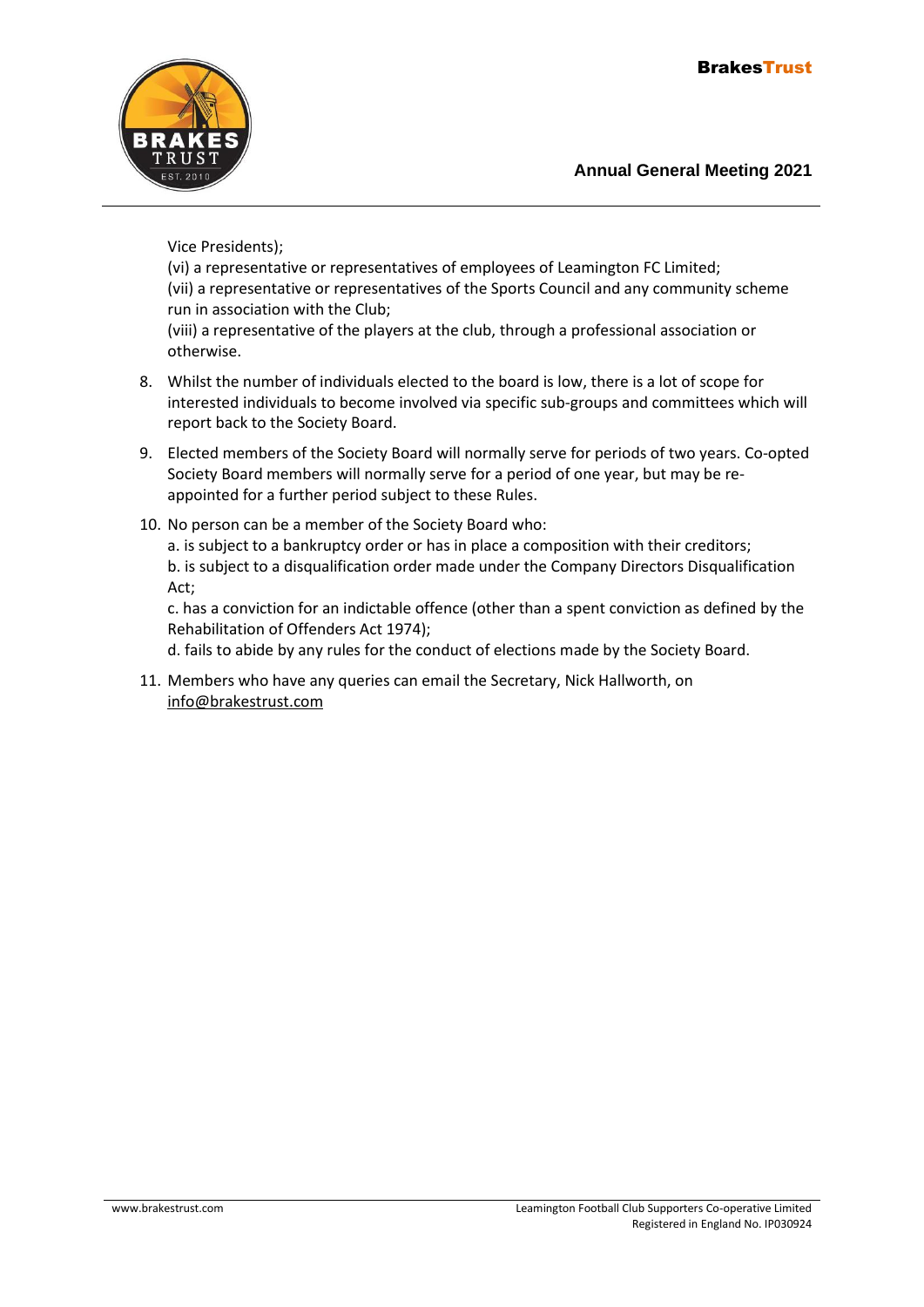

Vice Presidents);

(vi) a representative or representatives of employees of Leamington FC Limited; (vii) a representative or representatives of the Sports Council and any community scheme run in association with the Club; (viii) a representative of the players at the club, through a professional association or

otherwise.

- 8. Whilst the number of individuals elected to the board is low, there is a lot of scope for interested individuals to become involved via specific sub-groups and committees which will report back to the Society Board.
- 9. Elected members of the Society Board will normally serve for periods of two years. Co-opted Society Board members will normally serve for a period of one year, but may be reappointed for a further period subject to these Rules.
- 10. No person can be a member of the Society Board who:

a. is subject to a bankruptcy order or has in place a composition with their creditors; b. is subject to a disqualification order made under the Company Directors Disqualification Act;

c. has a conviction for an indictable offence (other than a spent conviction as defined by the Rehabilitation of Offenders Act 1974);

d. fails to abide by any rules for the conduct of elections made by the Society Board.

11. Members who have any queries can email the Secretary, Nick Hallworth, on [info@brakestrust.com](mailto:nickhallworth@googlemail.com)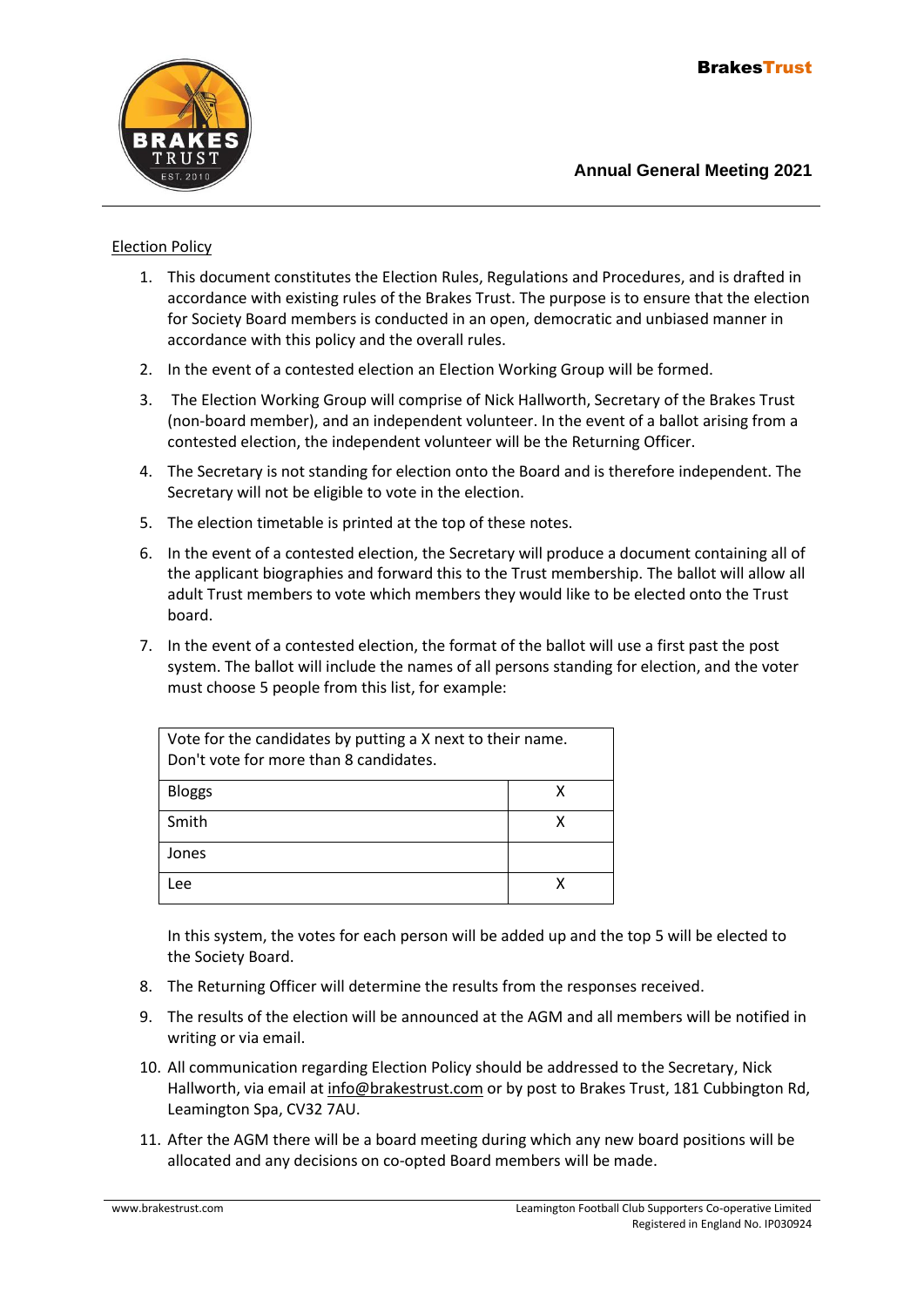

#### Election Policy

- 1. This document constitutes the Election Rules, Regulations and Procedures, and is drafted in accordance with existing rules of the Brakes Trust. The purpose is to ensure that the election for Society Board members is conducted in an open, democratic and unbiased manner in accordance with this policy and the overall rules.
- 2. In the event of a contested election an Election Working Group will be formed.
- 3. The Election Working Group will comprise of Nick Hallworth, Secretary of the Brakes Trust (non-board member), and an independent volunteer. In the event of a ballot arising from a contested election, the independent volunteer will be the Returning Officer.
- 4. The Secretary is not standing for election onto the Board and is therefore independent. The Secretary will not be eligible to vote in the election.
- 5. The election timetable is printed at the top of these notes.
- 6. In the event of a contested election, the Secretary will produce a document containing all of the applicant biographies and forward this to the Trust membership. The ballot will allow all adult Trust members to vote which members they would like to be elected onto the Trust board.
- 7. In the event of a contested election, the format of the ballot will use a first past the post system. The ballot will include the names of all persons standing for election, and the voter must choose 5 people from this list, for example:

| Vote for the candidates by putting a X next to their name.<br>Don't vote for more than 8 candidates. |   |
|------------------------------------------------------------------------------------------------------|---|
| <b>Bloggs</b>                                                                                        | x |
| Smith                                                                                                | χ |
| Jones                                                                                                |   |
| <b>Lee</b>                                                                                           |   |

In this system, the votes for each person will be added up and the top 5 will be elected to the Society Board.

- 8. The Returning Officer will determine the results from the responses received.
- 9. The results of the election will be announced at the AGM and all members will be notified in writing or via email.
- 10. All communication regarding Election Policy should be addressed to the Secretary, Nick Hallworth, via email at [info@brakestrust.com](mailto:nickhallworth@googlemail.com) or by post to Brakes Trust, 181 Cubbington Rd, Leamington Spa, CV32 7AU.
- 11. After the AGM there will be a board meeting during which any new board positions will be allocated and any decisions on co-opted Board members will be made.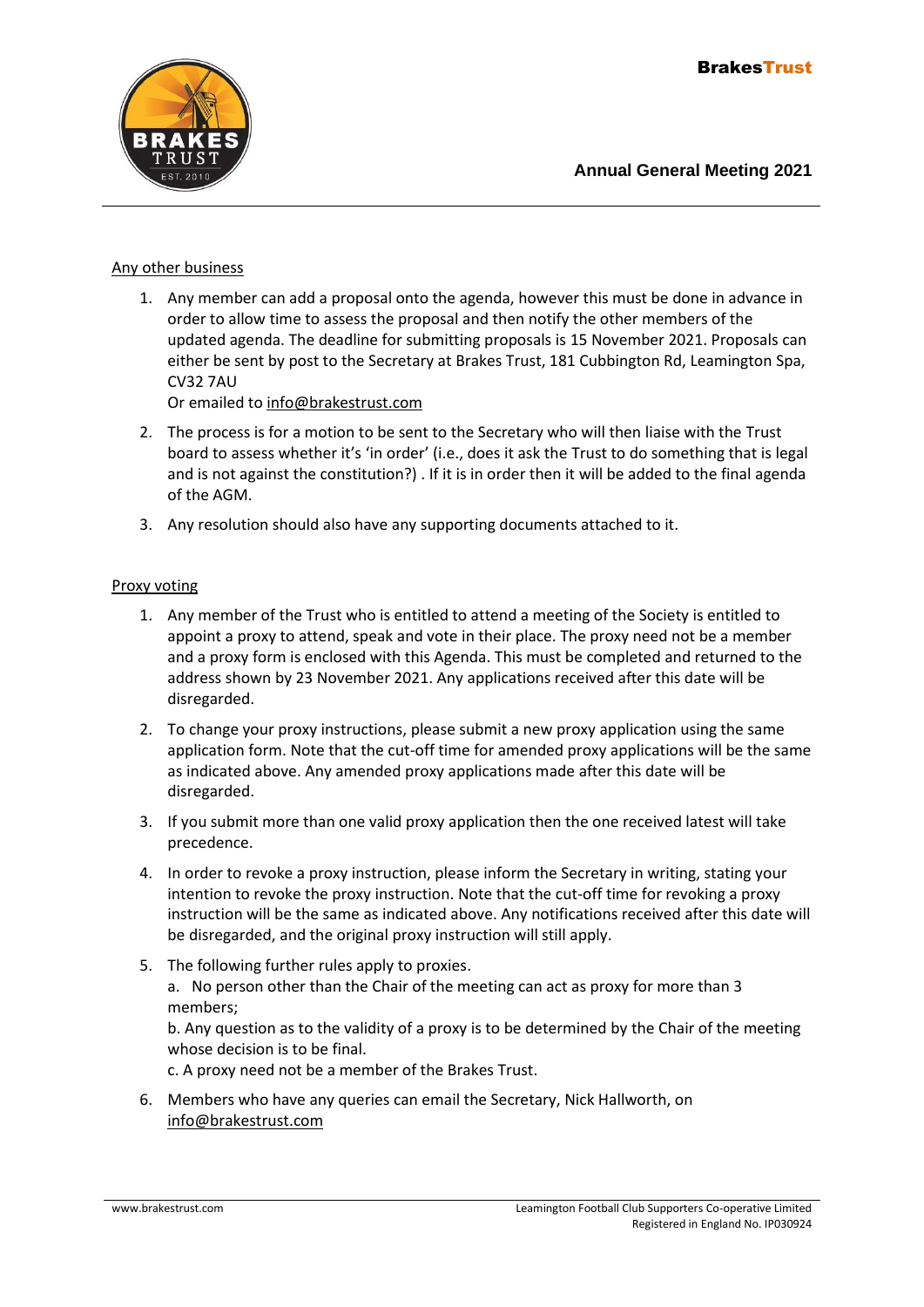

#### Any other business

1. Any member can add a proposal onto the agenda, however this must be done in advance in order to allow time to assess the proposal and then notify the other members of the updated agenda. The deadline for submitting proposals is 15 November 2021. Proposals can either be sent by post to the Secretary at Brakes Trust, 181 Cubbington Rd, Leamington Spa, CV32 7AU

Or emailed to [info@brakestrust.com](mailto:nickhallworth@googlemail.com)

- 2. The process is for a motion to be sent to the Secretary who will then liaise with the Trust board to assess whether it's 'in order' (i.e., does it ask the Trust to do something that is legal and is not against the constitution?) . If it is in order then it will be added to the final agenda of the AGM.
- 3. Any resolution should also have any supporting documents attached to it.

#### Proxy voting

- 1. Any member of the Trust who is entitled to attend a meeting of the Society is entitled to appoint a proxy to attend, speak and vote in their place. The proxy need not be a member and a proxy form is enclosed with this Agenda. This must be completed and returned to the address shown by 23 November 2021. Any applications received after this date will be disregarded.
- 2. To change your proxy instructions, please submit a new proxy application using the same application form. Note that the cut-off time for amended proxy applications will be the same as indicated above. Any amended proxy applications made after this date will be disregarded.
- 3. If you submit more than one valid proxy application then the one received latest will take precedence.
- 4. In order to revoke a proxy instruction, please inform the Secretary in writing, stating your intention to revoke the proxy instruction. Note that the cut-off time for revoking a proxy instruction will be the same as indicated above. Any notifications received after this date will be disregarded, and the original proxy instruction will still apply.
- 5. The following further rules apply to proxies. a. No person other than the Chair of the meeting can act as proxy for more than 3 members;

b. Any question as to the validity of a proxy is to be determined by the Chair of the meeting whose decision is to be final.

c. A proxy need not be a member of the Brakes Trust.

6. Members who have any queries can email the Secretary, Nick Hallworth, on [info@brakestrust.com](mailto:nickhallworth@googlemail.com)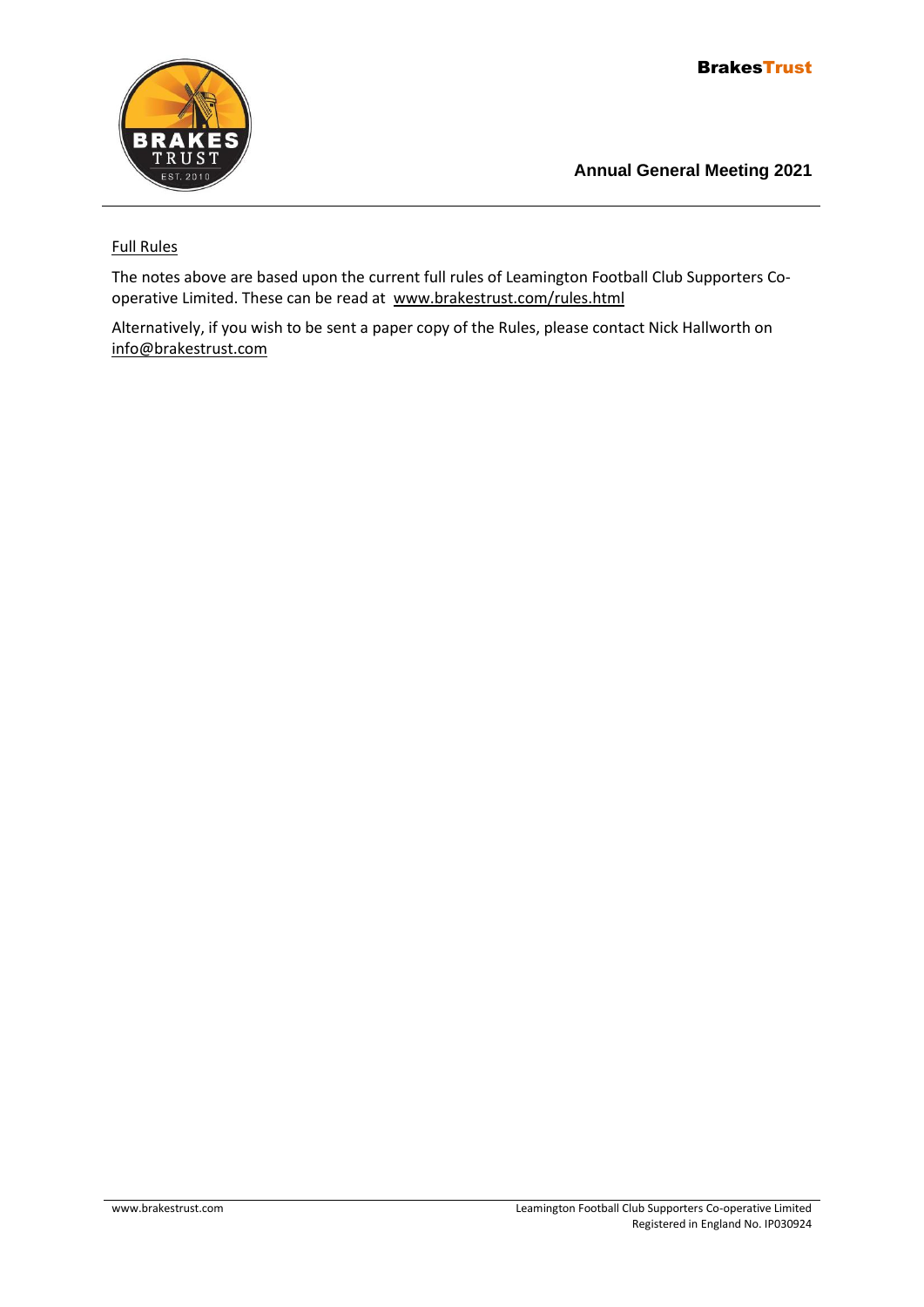

## Full Rules

The notes above are based upon the current full rules of Leamington Football Club Supporters Cooperative Limited. These can be read at [www.brakestrust.com/rules.html](http://www.brakestrust.com/rules.html)

Alternatively, if you wish to be sent a paper copy of the Rules, please contact Nick Hallworth on [info@brakestrust.com](mailto:info@brakestrust.com)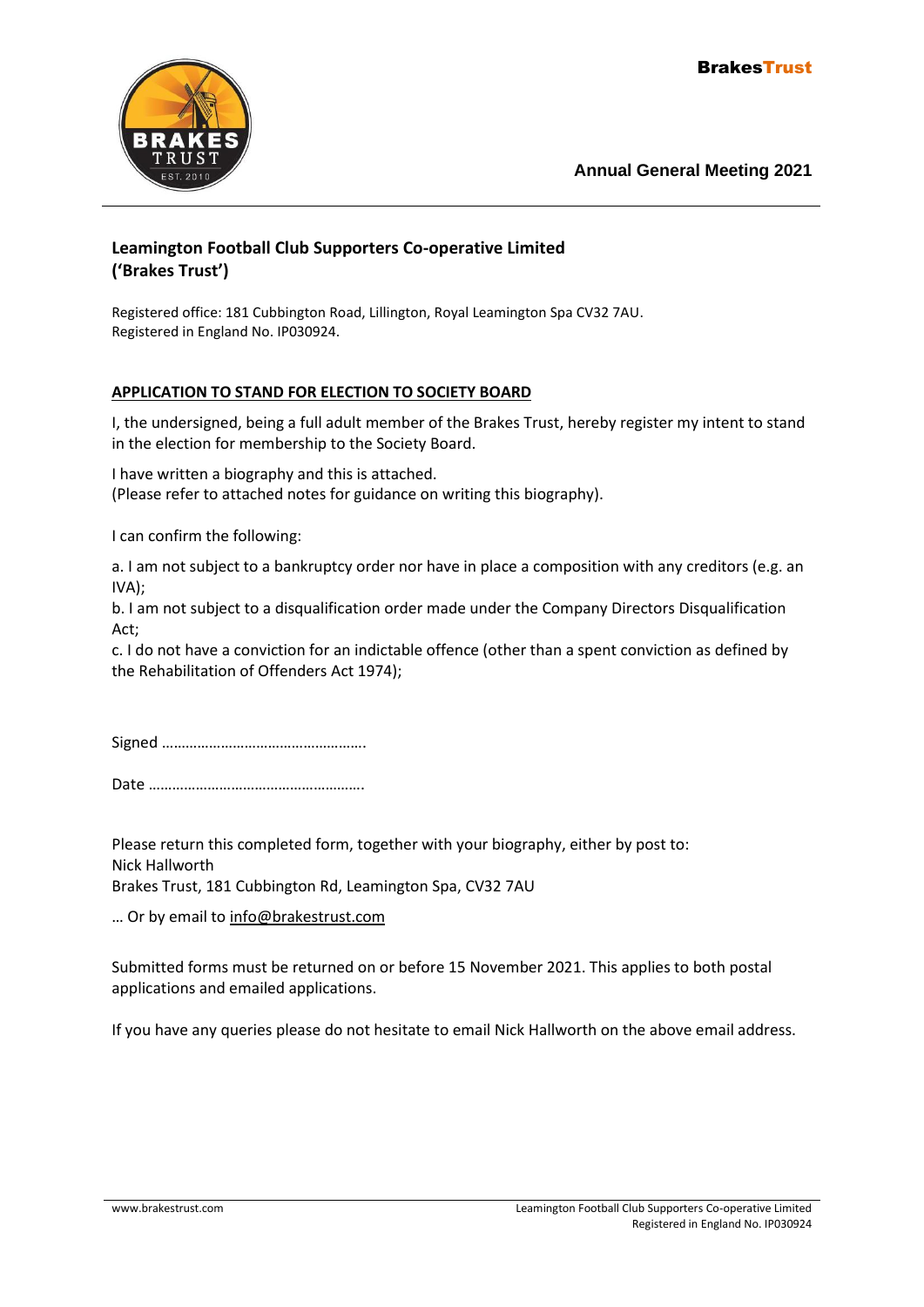

# **Leamington Football Club Supporters Co-operative Limited ('Brakes Trust')**

Registered office: 181 Cubbington Road, Lillington, Royal Leamington Spa CV32 7AU. Registered in England No. IP030924.

## **APPLICATION TO STAND FOR ELECTION TO SOCIETY BOARD**

I, the undersigned, being a full adult member of the Brakes Trust, hereby register my intent to stand in the election for membership to the Society Board.

I have written a biography and this is attached. (Please refer to attached notes for guidance on writing this biography).

I can confirm the following:

a. I am not subject to a bankruptcy order nor have in place a composition with any creditors (e.g. an IVA);

b. I am not subject to a disqualification order made under the Company Directors Disqualification Act;

c. I do not have a conviction for an indictable offence (other than a spent conviction as defined by the Rehabilitation of Offenders Act 1974);

Signed …………………………………………….

Date ……………………………………………….

Please return this completed form, together with your biography, either by post to: Nick Hallworth Brakes Trust, 181 Cubbington Rd, Leamington Spa, CV32 7AU

… Or by email to [info@brakestrust.com](mailto:nickhallworth@googlemail.com)

Submitted forms must be returned on or before 15 November 2021. This applies to both postal applications and emailed applications.

If you have any queries please do not hesitate to email Nick Hallworth on the above email address.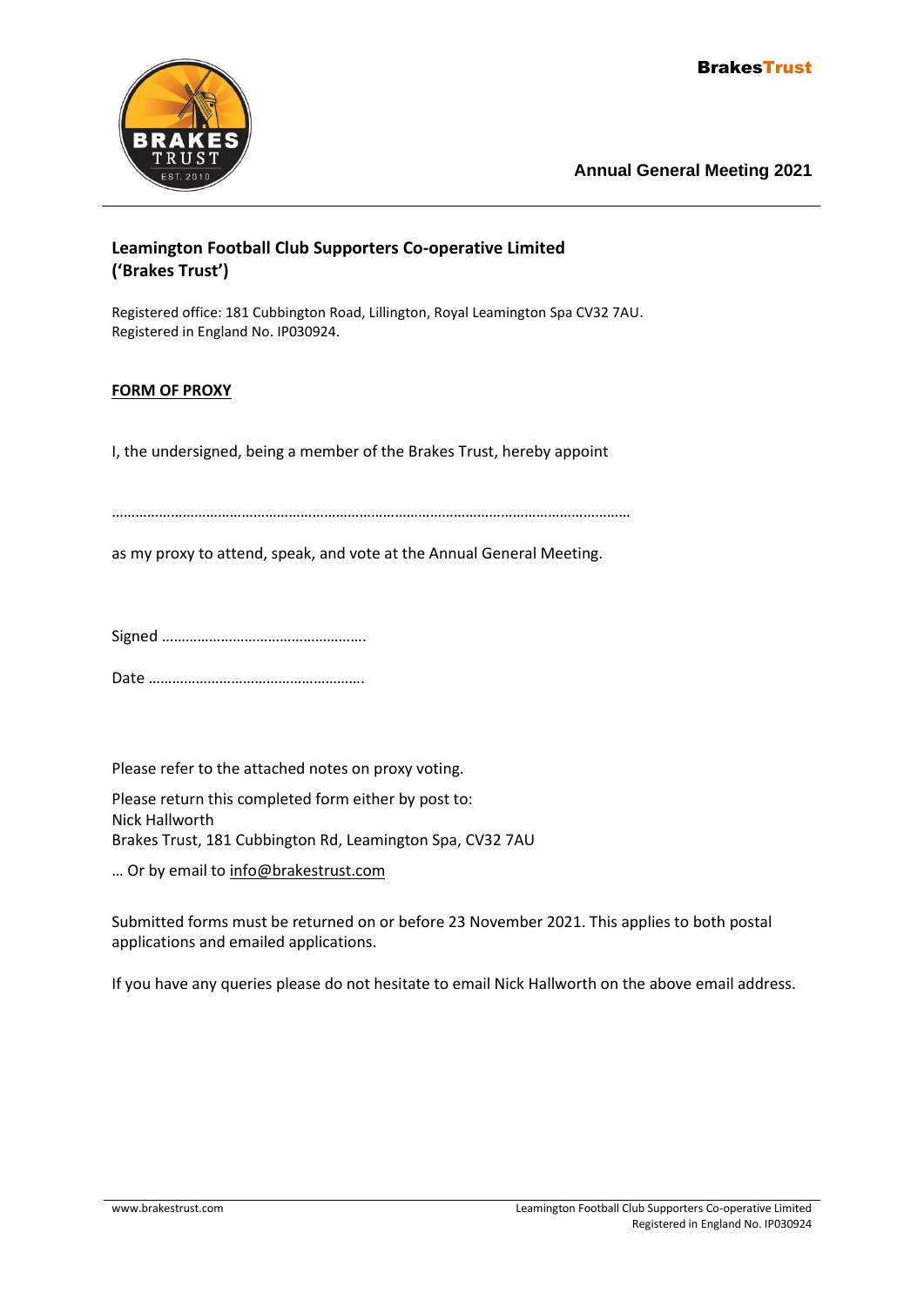

# **Leamington Football Club Supporters Co-operative Limited ('Brakes Trust')**

Registered office: 181 Cubbington Road, Lillington, Royal Leamington Spa CV32 7AU. Registered in England No. IP030924.

## **FORM OF PROXY**

I, the undersigned, being a member of the Brakes Trust, hereby appoint

……………………………………………………………………………………………………………………

as my proxy to attend, speak, and vote at the Annual General Meeting.

Signed …………………………………………….

Date ……………………………………………….

Please refer to the attached notes on proxy voting.

Please return this completed form either by post to: Nick Hallworth Brakes Trust, 181 Cubbington Rd, Leamington Spa, CV32 7AU

… Or by email to [info@brakestrust.com](mailto:nickhallworth@googlemail.com)

Submitted forms must be returned on or before 23 November 2021. This applies to both postal applications and emailed applications.

If you have any queries please do not hesitate to email Nick Hallworth on the above email address.